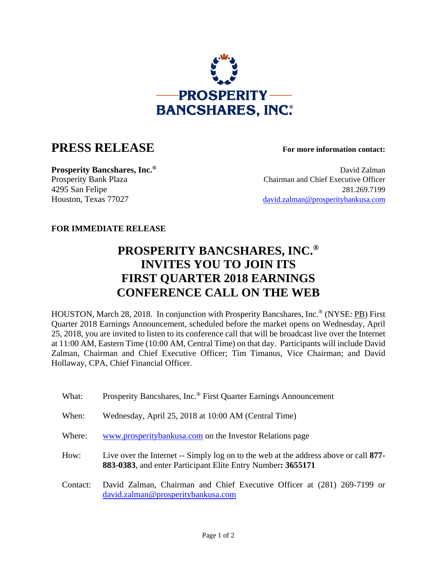

## **PRESS RELEASE For more information contact:**

**Prosperity Bancshares, Inc.<sup>®</sup> David Zalman** Prosperity Bank Plaza Chairman and Chief Executive Officer 4295 San Felipe 281.269.7199 Houston, Texas 77027 david.zalman@prosperitybankusa.com

## **FOR IMMEDIATE RELEASE**

## **PROSPERITY BANCSHARES, INC.® INVITES YOU TO JOIN ITS FIRST QUARTER 2018 EARNINGS CONFERENCE CALL ON THE WEB**

HOUSTON, March 28, 2018. In conjunction with Prosperity Bancshares, Inc.® (NYSE: PB) First Quarter 2018 Earnings Announcement, scheduled before the market opens on Wednesday, April 25, 2018, you are invited to listen to its conference call that will be broadcast live over the Internet at 11:00 AM, Eastern Time (10:00 AM, Central Time) on that day. Participants will include David Zalman, Chairman and Chief Executive Officer; Tim Timanus, Vice Chairman; and David Hollaway, CPA, Chief Financial Officer.

What: Prosperity Bancshares, Inc.<sup>®</sup> First Quarter Earnings Announcement When: Wednesday, April 25, 2018 at 10:00 AM (Central Time) Where: www.prosperitybankusa.com on the Investor Relations page How: Live over the Internet -- Simply log on to the web at the address above or call **877- 883-0383**, and enter Participant Elite Entry Number**: 3655171** Contact: David Zalman, Chairman and Chief Executive Officer at (281) 269-7199 or david.zalman@prosperitybankusa.com